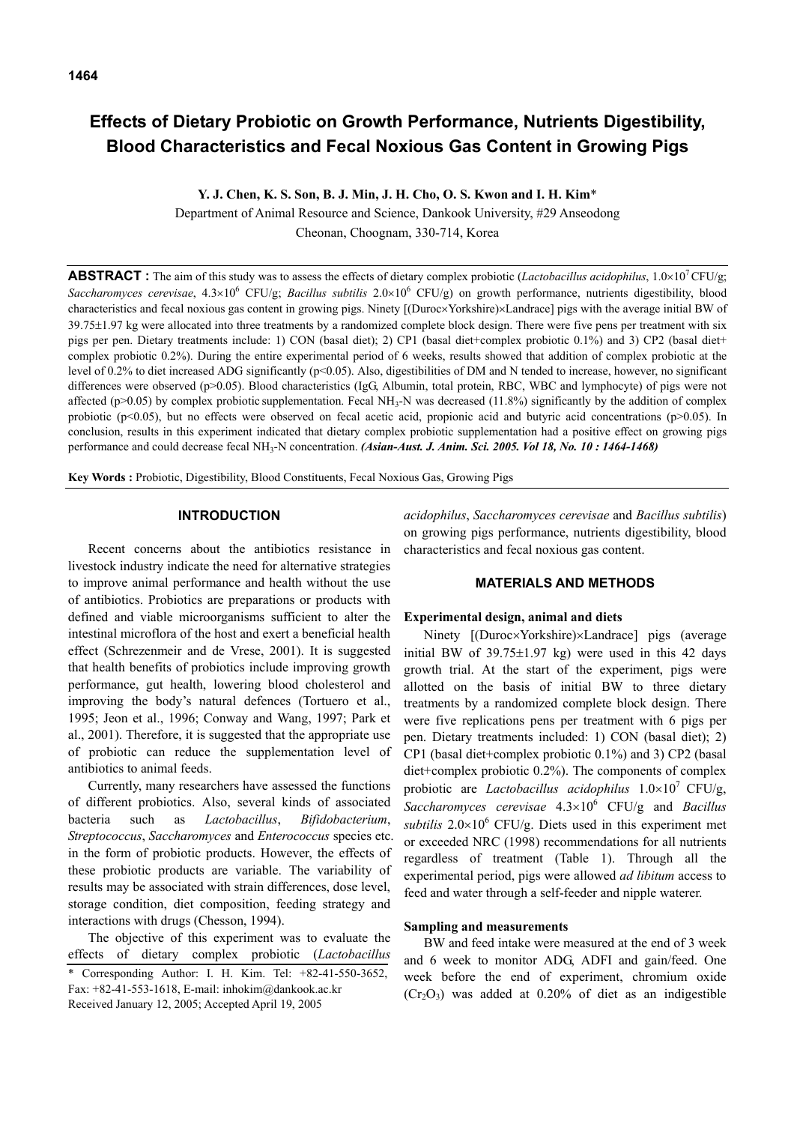# **Effects of Dietary Probiotic on Growth Performance, Nutrients Digestibility, Blood Characteristics and Fecal Noxious Gas Content in Growing Pigs**

**Y. J. Chen, K. S. Son, B. J. Min, J. H. Cho, O. S. Kwon and I. H. Kim**\*

Department of Animal Resource and Science, Dankook University, #29 Anseodong Cheonan, Choognam, 330-714, Korea

**ABSTRACT**: The aim of this study was to assess the effects of dietary complex probiotic (*Lactobacillus acidophilus*,  $1.0 \times 10^{7}$  CFU/g; *Saccharomyces cerevisae*, 4.3×10<sup>6</sup> CFU/g; *Bacillus subtilis* 2.0×10<sup>6</sup> CFU/g) on growth performance, nutrients digestibility, blood characteristics and fecal noxious gas content in growing pigs. Ninety [(Duroc×Yorkshire)×Landrace] pigs with the average initial BW of 39.75±1.97 kg were allocated into three treatments by a randomized complete block design. There were five pens per treatment with six pigs per pen. Dietary treatments include: 1) CON (basal diet); 2) CP1 (basal diet+complex probiotic 0.1%) and 3) CP2 (basal diet+ complex probiotic 0.2%). During the entire experimental period of 6 weeks, results showed that addition of complex probiotic at the level of 0.2% to diet increased ADG significantly (p<0.05). Also, digestibilities of DM and N tended to increase, however, no significant differences were observed (p>0.05). Blood characteristics (IgG, Albumin, total protein, RBC, WBC and lymphocyte) of pigs were not affected (p>0.05) by complex probiotic supplementation. Fecal NH<sub>3</sub>-N was decreased (11.8%) significantly by the addition of complex probiotic (p<0.05), but no effects were observed on fecal acetic acid, propionic acid and butyric acid concentrations (p>0.05). In conclusion, results in this experiment indicated that dietary complex probiotic supplementation had a positive effect on growing pigs performance and could decrease fecal NH<sub>3</sub>-N concentration. *(Asian-Aust. J. Anim. Sci. 2005. Vol 18, No. 10 : 1464-1468)* 

**Key Words :** Probiotic, Digestibility, Blood Constituents, Fecal Noxious Gas, Growing Pigs

## **INTRODUCTION**

Recent concerns about the antibiotics resistance in livestock industry indicate the need for alternative strategies to improve animal performance and health without the use of antibiotics. Probiotics are preparations or products with defined and viable microorganisms sufficient to alter the intestinal microflora of the host and exert a beneficial health effect (Schrezenmeir and de Vrese, 2001). It is suggested that health benefits of probiotics include improving growth performance, gut health, lowering blood cholesterol and improving the body's natural defences (Tortuero et al., 1995; Jeon et al., 1996; Conway and Wang, 1997; Park et al., 2001). Therefore, it is suggested that the appropriate use of probiotic can reduce the supplementation level of antibiotics to animal feeds.

Currently, many researchers have assessed the functions of different probiotics. Also, several kinds of associated bacteria such as *Lactobacillus*, *Bifidobacterium*, *Streptococcus*, *Saccharomyces* and *Enterococcus* species etc. in the form of probiotic products. However, the effects of these probiotic products are variable. The variability of results may be associated with strain differences, dose level, storage condition, diet composition, feeding strategy and interactions with drugs (Chesson, 1994).

The objective of this experiment was to evaluate the effects of dietary complex probiotic (*Lactobacillus*  \* Corresponding Author: I. H. Kim. Tel: +82-41-550-3652, Fax: +82-41-553-1618, E-mail: inhokim@dankook.ac.kr Received January 12, 2005; Accepted April 19, 2005

*acidophilus*, *Saccharomyces cerevisae* and *Bacillus subtilis*) on growing pigs performance, nutrients digestibility, blood characteristics and fecal noxious gas content.

## **MATERIALS AND METHODS**

## **Experimental design, animal and diets**

Ninety [(Duroc×Yorkshire)×Landrace] pigs (average initial BW of  $39.75 \pm 1.97$  kg) were used in this 42 days growth trial. At the start of the experiment, pigs were allotted on the basis of initial BW to three dietary treatments by a randomized complete block design. There were five replications pens per treatment with 6 pigs per pen. Dietary treatments included: 1) CON (basal diet); 2) CP1 (basal diet+complex probiotic 0.1%) and 3) CP2 (basal diet+complex probiotic 0.2%). The components of complex probiotic are *Lactobacillus acidophilus* 1.0×107 CFU/g, *Saccharomyces cerevisae* 4.3×10<sup>6</sup> CFU/g and *Bacillus subtilis*  $2.0 \times 10^6$  CFU/g. Diets used in this experiment met or exceeded NRC (1998) recommendations for all nutrients regardless of treatment (Table 1). Through all the experimental period, pigs were allowed *ad libitum* access to feed and water through a self-feeder and nipple waterer.

# **Sampling and measurements**

BW and feed intake were measured at the end of 3 week and 6 week to monitor ADG, ADFI and gain/feed. One week before the end of experiment, chromium oxide  $(Cr_2O_3)$  was added at 0.20% of diet as an indigestible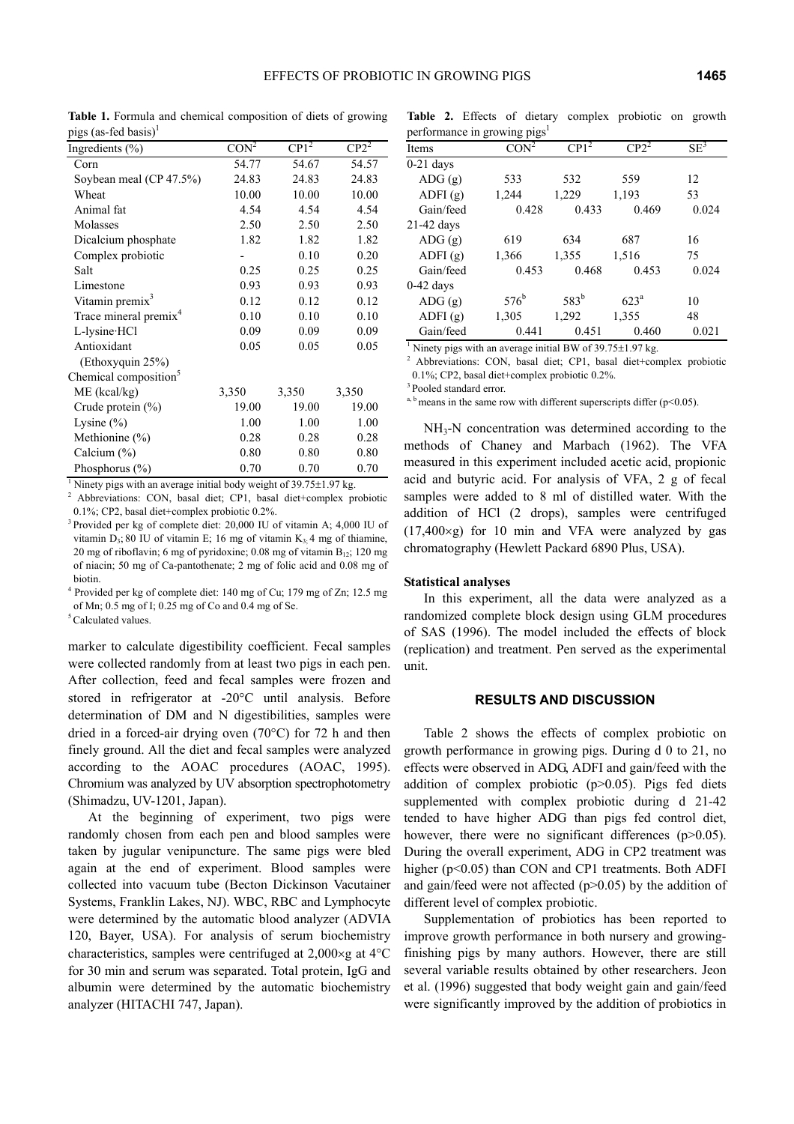**Table 1.** Formula and chemical composition of diets of growing pigs (as-fed basis)<sup>1</sup>

| Ingredients $(\% )$               | CON <sup>2</sup> | $CP1^2$ | $CP2^2$ |
|-----------------------------------|------------------|---------|---------|
| Corn                              | 54.77            | 54.67   | 54.57   |
| Soybean meal (CP 47.5%)           | 24.83            | 24.83   | 24.83   |
| Wheat                             | 10.00            | 10.00   | 10.00   |
| Animal fat                        | 4.54             | 4.54    | 4.54    |
| Molasses                          | 2.50             | 2.50    | 2.50    |
| Dicalcium phosphate               | 1.82             | 1.82    | 1.82    |
| Complex probiotic                 |                  | 0.10    | 0.20    |
| Salt                              | 0.25             | 0.25    | 0.25    |
| Limestone                         | 0.93             | 0.93    | 0.93    |
| Vitamin premix <sup>3</sup>       | 0.12             | 0.12    | 0.12    |
| Trace mineral premix <sup>4</sup> | 0.10             | 0.10    | 0.10    |
| L-lysine·HCl                      | 0.09             | 0.09    | 0.09    |
| Antioxidant                       | 0.05             | 0.05    | 0.05    |
| (Ethoxyquin 25%)                  |                  |         |         |
| Chemical composition <sup>5</sup> |                  |         |         |
| $ME$ (kcal/kg)                    | 3,350            | 3,350   | 3,350   |
| Crude protein $(\% )$             | 19.00            | 19.00   | 19.00   |
| Lysine $(\% )$                    | 1.00             | 1.00    | 1.00    |
| Methionine $(\% )$                | 0.28             | 0.28    | 0.28    |
| Calcium $(\% )$                   | 0.80             | 0.80    | 0.80    |
| Phosphorus (%)                    | 0.70             | 0.70    | 0.70    |

<sup>1</sup> Ninety pigs with an average initial body weight of 39.75 $\pm$ 1.97 kg.

 Abbreviations: CON, basal diet; CP1, basal diet+complex probiotic 0.1%; CP2, basal diet+complex probiotic 0.2%.

<sup>3</sup> Provided per kg of complete diet: 20,000 IU of vitamin A: 4,000 IU of vitamin  $D_3$ ; 80 IU of vitamin E; 16 mg of vitamin  $K_3$ ; 4 mg of thiamine, 20 mg of riboflavin; 6 mg of pyridoxine; 0.08 mg of vitamin  $B_{12}$ ; 120 mg of niacin; 50 mg of Ca-pantothenate; 2 mg of folic acid and 0.08 mg of biotin.

<sup>4</sup> Provided per kg of complete diet: 140 mg of Cu; 179 mg of Zn; 12.5 mg of Mn; 0.5 mg of I; 0.25 mg of Co and 0.4 mg of Se.

<sup>5</sup> Calculated values.

marker to calculate digestibility coefficient. Fecal samples were collected randomly from at least two pigs in each pen. After collection, feed and fecal samples were frozen and stored in refrigerator at -20°C until analysis. Before determination of DM and N digestibilities, samples were dried in a forced-air drying oven (70°C) for 72 h and then finely ground. All the diet and fecal samples were analyzed according to the AOAC procedures (AOAC, 1995). Chromium was analyzed by UV absorption spectrophotometry (Shimadzu, UV-1201, Japan).

At the beginning of experiment, two pigs were randomly chosen from each pen and blood samples were taken by jugular venipuncture. The same pigs were bled again at the end of experiment. Blood samples were collected into vacuum tube (Becton Dickinson Vacutainer Systems, Franklin Lakes, NJ). WBC, RBC and Lymphocyte were determined by the automatic blood analyzer (ADVIA 120, Bayer, USA). For analysis of serum biochemistry characteristics, samples were centrifuged at 2,000×g at 4°C for 30 min and serum was separated. Total protein, IgG and albumin were determined by the automatic biochemistry analyzer (HITACHI 747, Japan).

**Table 2.** Effects of dietary complex probiotic on growth performance in growing pigs<sup>1</sup>

| Items                                                                                                                                                                                                                          | CON <sup>2</sup> | $\overline{CP1^2}$ | $CP2^2$          | $SE^3$ |
|--------------------------------------------------------------------------------------------------------------------------------------------------------------------------------------------------------------------------------|------------------|--------------------|------------------|--------|
| $0-21$ days                                                                                                                                                                                                                    |                  |                    |                  |        |
| ADG(g)                                                                                                                                                                                                                         | 533              | 532                | 559              | 12     |
| ADFI(g)                                                                                                                                                                                                                        | 1,244            | 1,229              | 1,193            | 53     |
| Gain/feed                                                                                                                                                                                                                      | 0.428            | 0.433              | 0.469            | 0.024  |
| 21-42 days                                                                                                                                                                                                                     |                  |                    |                  |        |
| ADG(g)                                                                                                                                                                                                                         | 619              | 634                | 687              | 16     |
| ADFI(g)                                                                                                                                                                                                                        | 1,366            | 1,355              | 1,516            | 75     |
| Gain/feed                                                                                                                                                                                                                      | 0.453            | 0.468              | 0.453            | 0.024  |
| $0-42$ days                                                                                                                                                                                                                    |                  |                    |                  |        |
| ADG(g)                                                                                                                                                                                                                         | $576^{\rm b}$    | 583 <sup>b</sup>   | 623 <sup>a</sup> | 10     |
| ADFI(g)                                                                                                                                                                                                                        | 1,305            | 1,292              | 1,355            | 48     |
| Gain/feed                                                                                                                                                                                                                      | 0.441            | 0.451              | 0.460            | 0.021  |
| The second control of the second control of the second control of the second control of the second control of the second control of the second control of the second control of the second control of the second control of th |                  |                    |                  |        |

<sup>1</sup> Ninety pigs with an average initial BW of  $39.75 \pm 1.97$  kg.

<sup>2</sup> Abbreviations: CON, basal diet; CP1, basal diet+complex probiotic 0.1%; CP2, basal diet+complex probiotic 0.2%.

<sup>3</sup> Pooled standard error.

<sup>a, b</sup> means in the same row with different superscripts differ ( $p$  < 0.05).

NH<sub>3</sub>-N concentration was determined according to the methods of Chaney and Marbach (1962). The VFA measured in this experiment included acetic acid, propionic acid and butyric acid. For analysis of VFA, 2 g of fecal samples were added to 8 ml of distilled water. With the addition of HCl (2 drops), samples were centrifuged  $(17,400\times g)$  for 10 min and VFA were analyzed by gas chromatography (Hewlett Packard 6890 Plus, USA).

## **Statistical analyses**

In this experiment, all the data were analyzed as a randomized complete block design using GLM procedures of SAS (1996). The model included the effects of block (replication) and treatment. Pen served as the experimental unit.

#### **RESULTS AND DISCUSSION**

Table 2 shows the effects of complex probiotic on growth performance in growing pigs. During d 0 to 21, no effects were observed in ADG, ADFI and gain/feed with the addition of complex probiotic (p>0.05). Pigs fed diets supplemented with complex probiotic during d 21-42 tended to have higher ADG than pigs fed control diet, however, there were no significant differences (p>0.05). During the overall experiment, ADG in CP2 treatment was higher (p<0.05) than CON and CP1 treatments. Both ADFI and gain/feed were not affected (p>0.05) by the addition of different level of complex probiotic.

Supplementation of probiotics has been reported to improve growth performance in both nursery and growingfinishing pigs by many authors. However, there are still several variable results obtained by other researchers. Jeon et al. (1996) suggested that body weight gain and gain/feed were significantly improved by the addition of probiotics in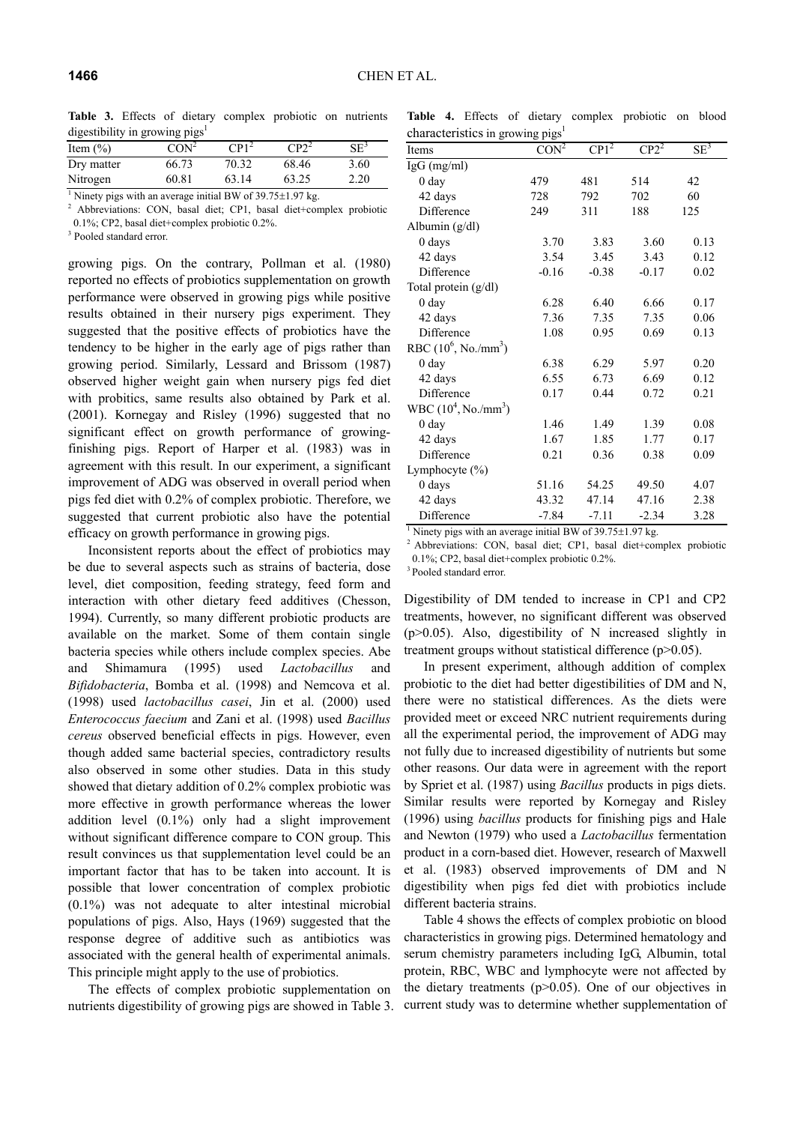**Table 3.** Effects of dietary complex probiotic on nutrients digestibility in growing pigs<sup>1</sup>

| Item $(\% )$ | $CON^2$ | $CP1^2$ | $CP2^2$ | $\rm SE^3$ |
|--------------|---------|---------|---------|------------|
| Dry matter   | 66.73   | 70.32   | 68.46   | 3.60       |
| Nitrogen     | 60.81   | 63.14   | 63.25   | 2.20       |

Ninety pigs with an average initial BW of 39.75±1.97 kg.

<sup>2</sup> Abbreviations: CON, basal diet; CP1, basal diet+complex probiotic 0.1%; CP2, basal diet+complex probiotic 0.2%.

<sup>3</sup> Pooled standard error.

growing pigs. On the contrary, Pollman et al. (1980) reported no effects of probiotics supplementation on growth performance were observed in growing pigs while positive results obtained in their nursery pigs experiment. They suggested that the positive effects of probiotics have the tendency to be higher in the early age of pigs rather than growing period. Similarly, Lessard and Brissom (1987) observed higher weight gain when nursery pigs fed diet with probitics, same results also obtained by Park et al. (2001). Kornegay and Risley (1996) suggested that no significant effect on growth performance of growingfinishing pigs. Report of Harper et al. (1983) was in agreement with this result. In our experiment, a significant improvement of ADG was observed in overall period when pigs fed diet with 0.2% of complex probiotic. Therefore, we suggested that current probiotic also have the potential efficacy on growth performance in growing pigs.

Inconsistent reports about the effect of probiotics may be due to several aspects such as strains of bacteria, dose level, diet composition, feeding strategy, feed form and interaction with other dietary feed additives (Chesson, 1994). Currently, so many different probiotic products are available on the market. Some of them contain single bacteria species while others include complex species. Abe and Shimamura (1995) used *Lactobacillus* and *Bifidobacteria*, Bomba et al. (1998) and Nemcova et al. (1998) used *lactobacillus casei*, Jin et al. (2000) used *Enterococcus faecium* and Zani et al. (1998) used *Bacillus cereus* observed beneficial effects in pigs. However, even though added same bacterial species, contradictory results also observed in some other studies. Data in this study showed that dietary addition of 0.2% complex probiotic was more effective in growth performance whereas the lower addition level (0.1%) only had a slight improvement without significant difference compare to CON group. This result convinces us that supplementation level could be an important factor that has to be taken into account. It is possible that lower concentration of complex probiotic (0.1%) was not adequate to alter intestinal microbial populations of pigs. Also, Hays (1969) suggested that the response degree of additive such as antibiotics was associated with the general health of experimental animals. This principle might apply to the use of probiotics.

The effects of complex probiotic supplementation on nutrients digestibility of growing pigs are showed in Table 3.

**Table 4.** Effects of dietary complex probiotic on blood characteristics in growing pigs<sup>1</sup>

| Items                                                                       | o r o-<br>CON <sup>2</sup> | $CP1^2$ | $CP2^2$ | $SE^3$ |
|-----------------------------------------------------------------------------|----------------------------|---------|---------|--------|
| $IgG$ (mg/ml)                                                               |                            |         |         |        |
| 0 day                                                                       | 479                        | 481     | 514     | 42     |
| 42 days                                                                     | 728                        | 792     | 702     | 60     |
| Difference                                                                  | 249                        | 311     | 188     | 125    |
| Albumin (g/dl)                                                              |                            |         |         |        |
| $0$ days                                                                    | 3.70                       | 3.83    | 3.60    | 0.13   |
| 42 days                                                                     | 3.54                       | 3.45    | 3.43    | 0.12   |
| Difference                                                                  | $-0.16$                    | $-0.38$ | $-0.17$ | 0.02   |
| Total protein (g/dl)                                                        |                            |         |         |        |
| 0 day                                                                       | 6.28                       | 6.40    | 6.66    | 0.17   |
| 42 days                                                                     | 7.36                       | 7.35    | 7.35    | 0.06   |
| Difference                                                                  | 1.08                       | 0.95    | 0.69    | 0.13   |
| RBC $(10^6, No./mm^3)$                                                      |                            |         |         |        |
| 0 <sub>day</sub>                                                            | 6.38                       | 6.29    | 5.97    | 0.20   |
| 42 days                                                                     | 6.55                       | 6.73    | 6.69    | 0.12   |
| Difference                                                                  | 0.17                       | 0.44    | 0.72    | 0.21   |
| $WBC (104, No./mm3)$                                                        |                            |         |         |        |
| 0 day                                                                       | 1.46                       | 1.49    | 1.39    | 0.08   |
| 42 days                                                                     | 1.67                       | 1.85    | 1.77    | 0.17   |
| Difference                                                                  | 0.21                       | 0.36    | 0.38    | 0.09   |
| Lymphocyte (%)                                                              |                            |         |         |        |
| 0 days                                                                      | 51.16                      | 54.25   | 49.50   | 4.07   |
| 42 days                                                                     | 43.32                      | 47.14   | 47.16   | 2.38   |
| Difference                                                                  | $-7.84$                    | $-7.11$ | $-2.34$ | 3.28   |
| <sup>1</sup> Ninety pigs with an average initial BW of 39.75 $\pm$ 1.97 kg. |                            |         |         |        |

<sup>2</sup> Abbreviations: CON, basal diet; CP1, basal diet+complex probiotic 0.1%; CP2, basal diet+complex probiotic 0.2%.

<sup>3</sup> Pooled standard error.

Digestibility of DM tended to increase in CP1 and CP2 treatments, however, no significant different was observed  $(p>0.05)$ . Also, digestibility of N increased slightly in treatment groups without statistical difference (p>0.05).

In present experiment, although addition of complex probiotic to the diet had better digestibilities of DM and N, there were no statistical differences. As the diets were provided meet or exceed NRC nutrient requirements during all the experimental period, the improvement of ADG may not fully due to increased digestibility of nutrients but some other reasons. Our data were in agreement with the report by Spriet et al. (1987) using *Bacillus* products in pigs diets. Similar results were reported by Kornegay and Risley (1996) using *bacillus* products for finishing pigs and Hale and Newton (1979) who used a *Lactobacillus* fermentation product in a corn-based diet. However, research of Maxwell et al. (1983) observed improvements of DM and N digestibility when pigs fed diet with probiotics include different bacteria strains.

Table 4 shows the effects of complex probiotic on blood characteristics in growing pigs. Determined hematology and serum chemistry parameters including IgG, Albumin, total protein, RBC, WBC and lymphocyte were not affected by the dietary treatments (p>0.05). One of our objectives in current study was to determine whether supplementation of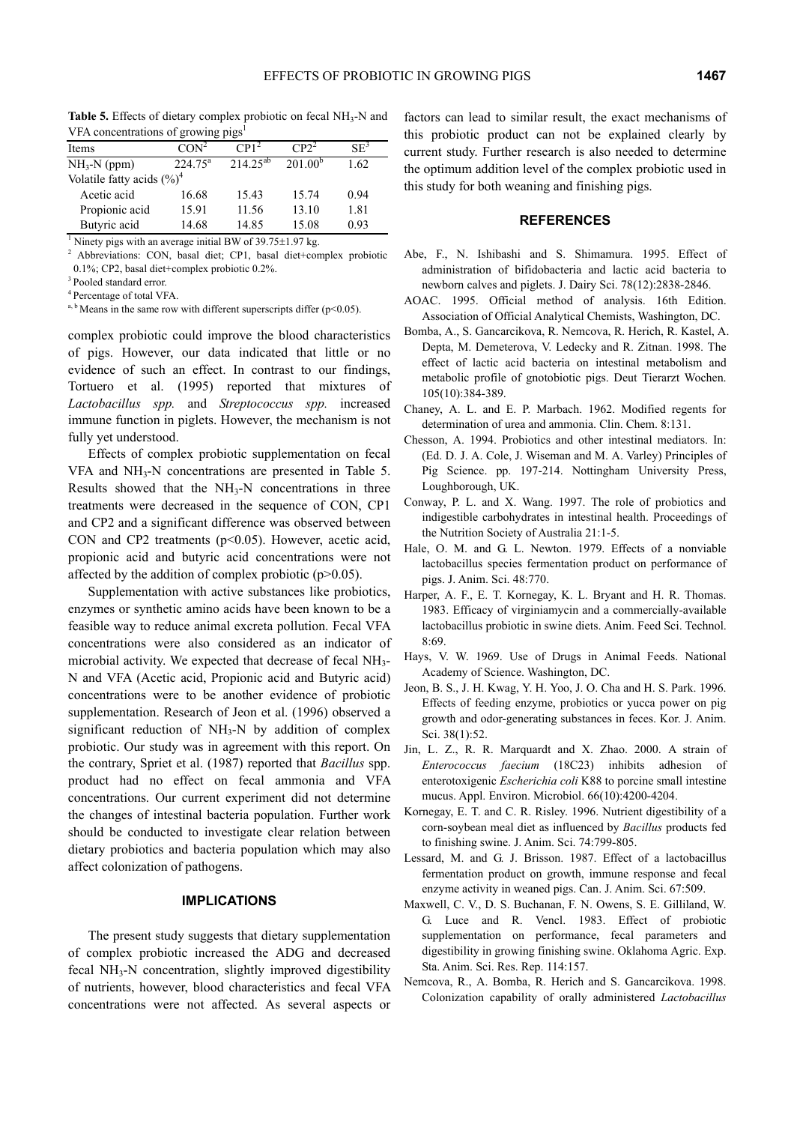| VFA concentrations of growing pigs <sup>1</sup> |                  |                  |              |        |  |
|-------------------------------------------------|------------------|------------------|--------------|--------|--|
| Items                                           | CON <sup>2</sup> | CP1 <sup>2</sup> | $CP2^2$      | $SE^3$ |  |
| $NH3-N$ (ppm)                                   | $224.75^{\circ}$ | $214.25^{ab}$    | $201.00^{b}$ | 1.62   |  |
| Volatile fatty acids $(\%)^4$                   |                  |                  |              |        |  |
| Acetic acid                                     | 6.68             | 15.43            |              | 0.94   |  |

Propionic acid 15.91 11.56 13.10 1.81

**Table 5.** Effects of dietary complex probiotic on fecal NH<sub>3</sub>-N and

Butyric acid  $14.68$   $14.85$   $15.08$  0.93 <sup>1</sup> Ninety pigs with an average initial BW of  $39.75\pm1.97$  kg.<sup>2</sup> Abbroviations:  $CON$  basel dist.  $CD1$  basel distributions.

<sup>2</sup> Abbreviations: CON, basal diet; CP1, basal diet+complex probiotic 0.1%; CP2, basal diet+complex probiotic 0.2%.

<sup>3</sup> Pooled standard error.

<sup>4</sup> Percentage of total VFA.

<sup>a, b</sup> Means in the same row with different superscripts differ ( $p$  < 0.05).

complex probiotic could improve the blood characteristics of pigs. However, our data indicated that little or no evidence of such an effect. In contrast to our findings, Tortuero et al. (1995) reported that mixtures of *Lactobacillus spp.* and *Streptococcus spp.* increased immune function in piglets. However, the mechanism is not fully yet understood.

Effects of complex probiotic supplementation on fecal  $VFA$  and  $NH<sub>3</sub>-N$  concentrations are presented in Table 5. Results showed that the  $NH<sub>3</sub>-N$  concentrations in three treatments were decreased in the sequence of CON, CP1 and CP2 and a significant difference was observed between CON and CP2 treatments  $(p<0.05)$ . However, acetic acid, propionic acid and butyric acid concentrations were not affected by the addition of complex probiotic  $(p>0.05)$ .

Supplementation with active substances like probiotics, enzymes or synthetic amino acids have been known to be a feasible way to reduce animal excreta pollution. Fecal VFA concentrations were also considered as an indicator of microbial activity. We expected that decrease of fecal NH<sub>3</sub>-N and VFA (Acetic acid, Propionic acid and Butyric acid) concentrations were to be another evidence of probiotic supplementation. Research of Jeon et al. (1996) observed a significant reduction of  $NH<sub>3</sub>-N$  by addition of complex probiotic. Our study was in agreement with this report. On the contrary, Spriet et al. (1987) reported that *Bacillus* spp. product had no effect on fecal ammonia and VFA concentrations. Our current experiment did not determine the changes of intestinal bacteria population. Further work should be conducted to investigate clear relation between dietary probiotics and bacteria population which may also affect colonization of pathogens.

# **IMPLICATIONS**

The present study suggests that dietary supplementation of complex probiotic increased the ADG and decreased fecal NH<sub>3</sub>-N concentration, slightly improved digestibility of nutrients, however, blood characteristics and fecal VFA concentrations were not affected. As several aspects or factors can lead to similar result, the exact mechanisms of this probiotic product can not be explained clearly by current study. Further research is also needed to determine the optimum addition level of the complex probiotic used in this study for both weaning and finishing pigs.

# **REFERENCES**

- Abe, F., N. Ishibashi and S. Shimamura. 1995. Effect of administration of bifidobacteria and lactic acid bacteria to newborn calves and piglets. J. Dairy Sci. 78(12):2838-2846.
- AOAC. 1995. Official method of analysis. 16th Edition. Association of Official Analytical Chemists, Washington, DC.
- Bomba, A., S. Gancarcikova, R. Nemcova, R. Herich, R. Kastel, A. Depta, M. Demeterova, V. Ledecky and R. Zitnan. 1998. The effect of lactic acid bacteria on intestinal metabolism and metabolic profile of gnotobiotic pigs. Deut Tierarzt Wochen. 105(10):384-389.
- Chaney, A. L. and E. P. Marbach. 1962. Modified regents for determination of urea and ammonia. Clin. Chem. 8:131.
- Chesson, A. 1994. Probiotics and other intestinal mediators. In: (Ed. D. J. A. Cole, J. Wiseman and M. A. Varley) Principles of Pig Science. pp. 197-214. Nottingham University Press, Loughborough, UK.
- Conway, P. L. and X. Wang. 1997. The role of probiotics and indigestible carbohydrates in intestinal health. Proceedings of the Nutrition Society of Australia 21:1-5.
- Hale, O. M. and G. L. Newton. 1979. Effects of a nonviable lactobacillus species fermentation product on performance of pigs. J. Anim. Sci. 48:770.
- Harper, A. F., E. T. Kornegay, K. L. Bryant and H. R. Thomas. 1983. Efficacy of virginiamycin and a commercially-available lactobacillus probiotic in swine diets. Anim. Feed Sci. Technol. 8:69.
- Hays, V. W. 1969. Use of Drugs in Animal Feeds. National Academy of Science. Washington, DC.
- Jeon, B. S., J. H. Kwag, Y. H. Yoo, J. O. Cha and H. S. Park. 1996. Effects of feeding enzyme, probiotics or yucca power on pig growth and odor-generating substances in feces. Kor. J. Anim. Sci. 38(1):52.
- Jin, L. Z., R. R. Marquardt and X. Zhao. 2000. A strain of *Enterococcus faecium* (18C23) inhibits adhesion of enterotoxigenic *Escherichia coli* K88 to porcine small intestine mucus. Appl. Environ. Microbiol. 66(10):4200-4204.
- Kornegay, E. T. and C. R. Risley. 1996. Nutrient digestibility of a corn-soybean meal diet as influenced by *Bacillus* products fed to finishing swine. J. Anim. Sci. 74:799-805.
- Lessard, M. and G. J. Brisson. 1987. Effect of a lactobacillus fermentation product on growth, immune response and fecal enzyme activity in weaned pigs. Can. J. Anim. Sci. 67:509.
- Maxwell, C. V., D. S. Buchanan, F. N. Owens, S. E. Gilliland, W. G. Luce and R. Vencl. 1983. Effect of probiotic supplementation on performance, fecal parameters and digestibility in growing finishing swine. Oklahoma Agric. Exp. Sta. Anim. Sci. Res. Rep. 114:157.
- Nemcova, R., A. Bomba, R. Herich and S. Gancarcikova. 1998. Colonization capability of orally administered *Lactobacillus*